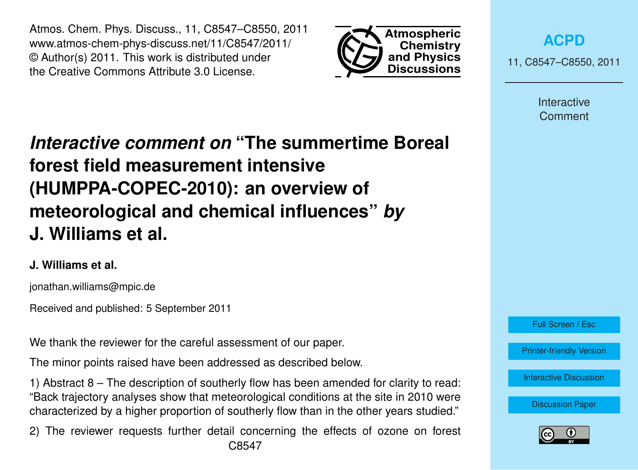Atmos. Chem. Phys. Discuss., 11, C8547–C8550, 2011 www.atmos-chem-phys-discuss.net/11/C8547/2011/ © Author(s) 2011. This work is distributed under the Creative Commons Attribute 3.0 License.



**[ACPD](http://www.atmos-chem-phys-discuss.net)**

11, C8547–C8550, 2011

Interactive Comment

## *Interactive comment on* **"The summertime Boreal forest field measurement intensive (HUMPPA-COPEC-2010): an overview of meteorological and chemical influences"** *by* **J. Williams et al.**

## **J. Williams et al.**

jonathan.williams@mpic.de

Received and published: 5 September 2011

We thank the reviewer for the careful assessment of our paper.

The minor points raised have been addressed as described below.

1) Abstract 8 – The description of southerly flow has been amended for clarity to read: "Back trajectory analyses show that meteorological conditions at the site in 2010 were characterized by a higher proportion of southerly flow than in the other years studied."

2) The reviewer requests further detail concerning the effects of ozone on forest C8547



[Printer-friendly Version](http://www.atmos-chem-phys-discuss.net/11/C8547/2011/acpd-11-C8547-2011-print.pdf)

[Interactive Discussion](http://www.atmos-chem-phys-discuss.net/11/15921/2011/acpd-11-15921-2011-discussion.html)

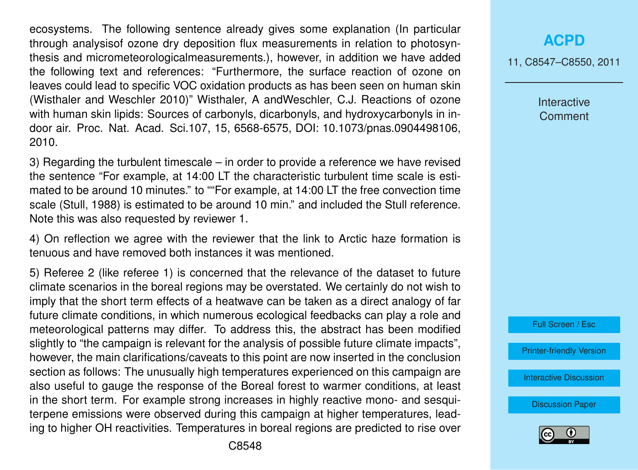ecosystems. The following sentence already gives some explanation (In particular through analysisof ozone dry deposition flux measurements in relation to photosynthesis and micrometeorologicalmeasurements.), however, in addition we have added the following text and references: "Furthermore, the surface reaction of ozone on leaves could lead to specific VOC oxidation products as has been seen on human skin (Wisthaler and Weschler 2010)" Wisthaler, A andWeschler, C.J. Reactions of ozone with human skin lipids: Sources of carbonyls, dicarbonyls, and hydroxycarbonyls in indoor air. Proc. Nat. Acad. Sci.107, 15, 6568-6575, DOI: 10.1073/pnas.0904498106, 2010.

3) Regarding the turbulent timescale – in order to provide a reference we have revised the sentence "For example, at 14:00 LT the characteristic turbulent time scale is estimated to be around 10 minutes." to ""For example, at 14:00 LT the free convection time scale (Stull, 1988) is estimated to be around 10 min." and included the Stull reference. Note this was also requested by reviewer 1.

4) On reflection we agree with the reviewer that the link to Arctic haze formation is tenuous and have removed both instances it was mentioned.

5) Referee 2 (like referee 1) is concerned that the relevance of the dataset to future climate scenarios in the boreal regions may be overstated. We certainly do not wish to imply that the short term effects of a heatwave can be taken as a direct analogy of far future climate conditions, in which numerous ecological feedbacks can play a role and meteorological patterns may differ. To address this, the abstract has been modified slightly to "the campaign is relevant for the analysis of possible future climate impacts", however, the main clarifications/caveats to this point are now inserted in the conclusion section as follows: The unusually high temperatures experienced on this campaign are also useful to gauge the response of the Boreal forest to warmer conditions, at least in the short term. For example strong increases in highly reactive mono- and sesquiterpene emissions were observed during this campaign at higher temperatures, leading to higher OH reactivities. Temperatures in boreal regions are predicted to rise over

## **[ACPD](http://www.atmos-chem-phys-discuss.net)**

11, C8547–C8550, 2011

Interactive **Comment** 



[Printer-friendly Version](http://www.atmos-chem-phys-discuss.net/11/C8547/2011/acpd-11-C8547-2011-print.pdf)

[Interactive Discussion](http://www.atmos-chem-phys-discuss.net/11/15921/2011/acpd-11-15921-2011-discussion.html)

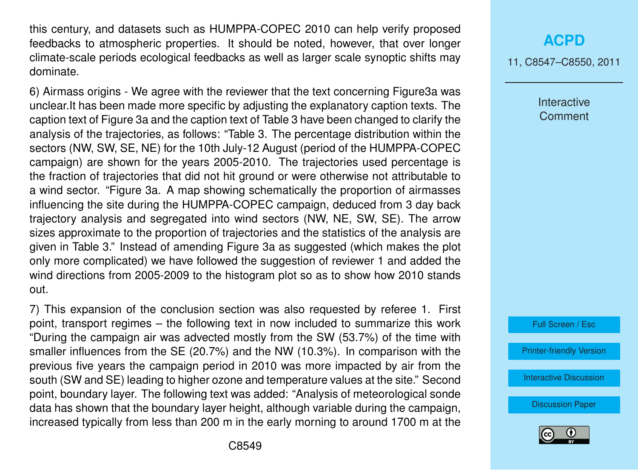this century, and datasets such as HUMPPA-COPEC 2010 can help verify proposed feedbacks to atmospheric properties. It should be noted, however, that over longer climate-scale periods ecological feedbacks as well as larger scale synoptic shifts may dominate.

6) Airmass origins - We agree with the reviewer that the text concerning Figure3a was unclear.It has been made more specific by adjusting the explanatory caption texts. The caption text of Figure 3a and the caption text of Table 3 have been changed to clarify the analysis of the trajectories, as follows: "Table 3. The percentage distribution within the sectors (NW, SW, SE, NE) for the 10th July-12 August (period of the HUMPPA-COPEC campaign) are shown for the years 2005-2010. The trajectories used percentage is the fraction of trajectories that did not hit ground or were otherwise not attributable to a wind sector. "Figure 3a. A map showing schematically the proportion of airmasses influencing the site during the HUMPPA-COPEC campaign, deduced from 3 day back trajectory analysis and segregated into wind sectors (NW, NE, SW, SE). The arrow sizes approximate to the proportion of trajectories and the statistics of the analysis are given in Table 3." Instead of amending Figure 3a as suggested (which makes the plot only more complicated) we have followed the suggestion of reviewer 1 and added the wind directions from 2005-2009 to the histogram plot so as to show how 2010 stands out.

7) This expansion of the conclusion section was also requested by referee 1. First point, transport regimes – the following text in now included to summarize this work "During the campaign air was advected mostly from the SW (53.7%) of the time with smaller influences from the SE (20.7%) and the NW (10.3%). In comparison with the previous five years the campaign period in 2010 was more impacted by air from the south (SW and SE) leading to higher ozone and temperature values at the site." Second point, boundary layer. The following text was added: "Analysis of meteorological sonde data has shown that the boundary layer height, although variable during the campaign, increased typically from less than 200 m in the early morning to around 1700 m at the

11, C8547–C8550, 2011

Interactive Comment



[Printer-friendly Version](http://www.atmos-chem-phys-discuss.net/11/C8547/2011/acpd-11-C8547-2011-print.pdf)

[Interactive Discussion](http://www.atmos-chem-phys-discuss.net/11/15921/2011/acpd-11-15921-2011-discussion.html)